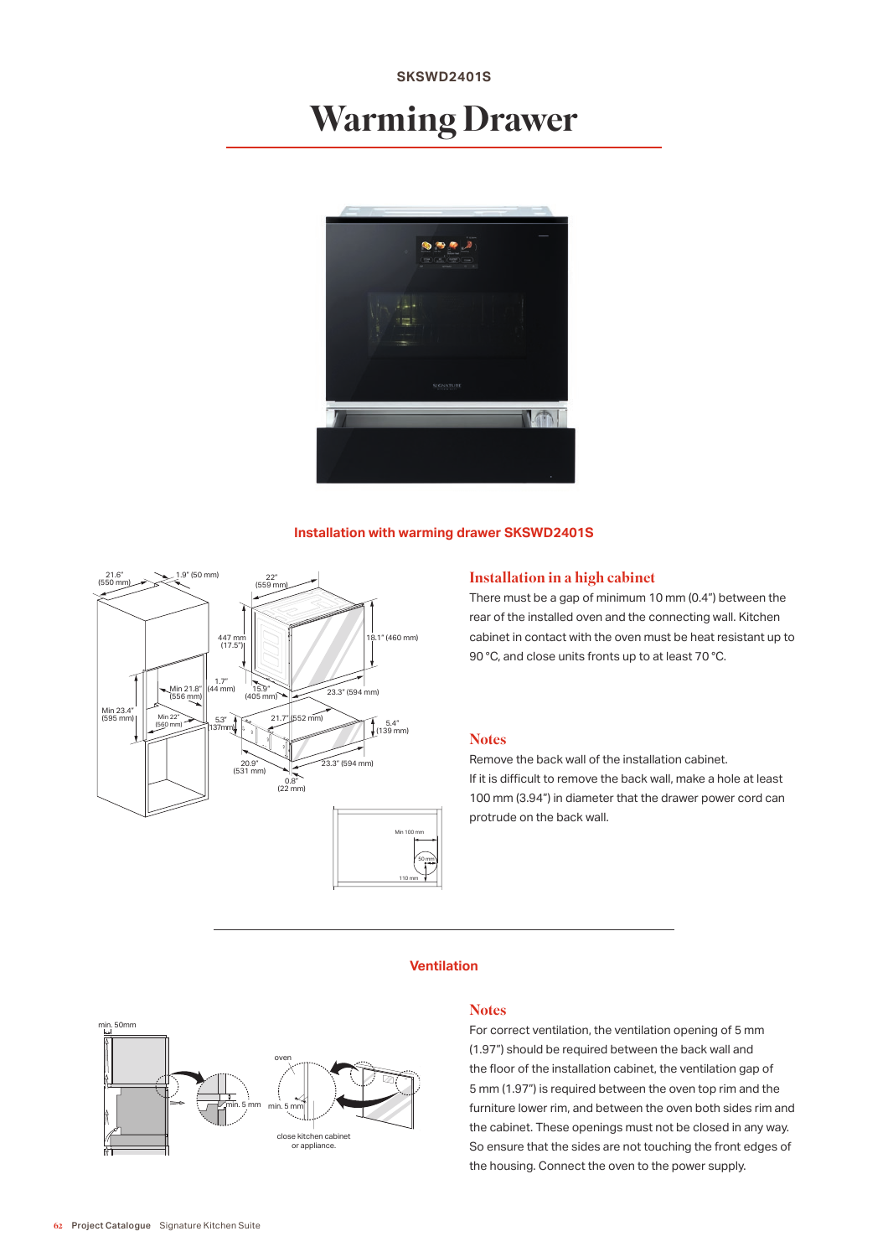## **SKSWD2401S**

# Warming Drawer



#### **Installation with warming drawer SKSWD2401S**



#### Installation in a high cabinet

There must be a gap of minimum 10 mm (0.4") between the rear of the installed oven and the connecting wall. Kitchen cabinet in contact with the oven must be heat resistant up to 90 °C, and close units fronts up to at least 70 °C.

#### **Notes**

Remove the back wall of the installation cabinet. If it is difficult to remove the back wall, make a hole at least 100 mm (3.94") in diameter that the drawer power cord can protrude on the back wall.

#### **Ventilation**



#### **Notes**

For correct ventilation, the ventilation opening of 5 mm (1.97") should be required between the back wall and the floor of the installation cabinet, the ventilation gap of 5 mm (1.97") is required between the oven top rim and the furniture lower rim, and between the oven both sides rim and the cabinet. These openings must not be closed in any way. So ensure that the sides are not touching the front edges of the housing. Connect the oven to the power supply.